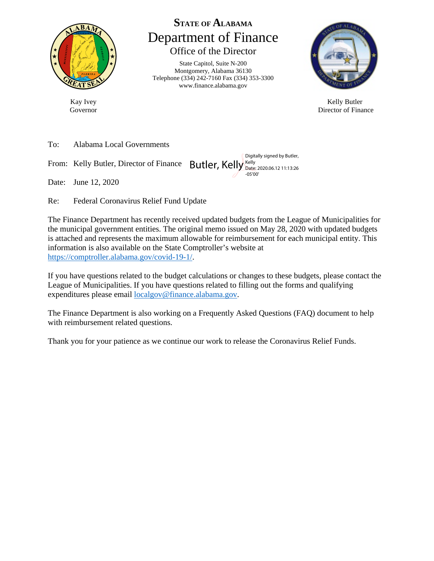

Kay Ivey Governor

**STATE OF ALABAMA** Department of Finance Office of the Director

State Capitol, Suite N-200 Montgomery, Alabama 36130 Telephone (334) 242-7160 Fax (334) 353-3300 www.finance.alabama.gov



Kelly Butler Director of Finance

To: Alabama Local Governments

From: Kelly Butler, Director of Finance Butler, Kelly Kelly

Date: June 12, 2020

Re: Federal Coronavirus Relief Fund Update

The Finance Department has recently received updated budgets from the League of Municipalities for the municipal government entities. The original memo issued on May 28, 2020 with updated budgets is attached and represents the maximum allowable for reimbursement for each municipal entity. This information is also available on the State Comptroller's website at [https://comptroller.alabama.gov/covid-19-1/.](https://comptroller.alabama.gov/covid-19-1/)

Digitally signed by Butler, Date: 2020.06.12 11:13:26

-05'00'

If you have questions related to the budget calculations or changes to these budgets, please contact the League of Municipalities. If you have questions related to filling out the forms and qualifying expenditures please email [localgov@finance.alabama.gov.](mailto:localgov@finance.alabama.gov)

The Finance Department is also working on a Frequently Asked Questions (FAQ) document to help with reimbursement related questions.

Thank you for your patience as we continue our work to release the Coronavirus Relief Funds.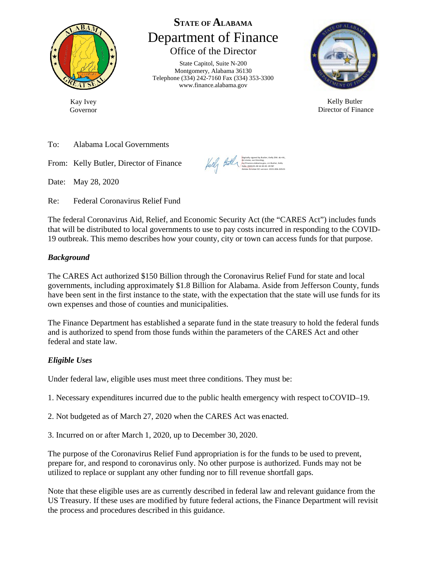

Kay Ivey Governor

# **STATE OF ALABAMA** Department of Finance Office of the Director

State Capitol, Suite N-200 Montgomery, Alabama 36130 Telephone (334) 242-7160 Fax (334) 353-3300 [www.finance.alabama.gov](http://www.finance.alabama.gov/)



Kelly Butler Director of Finance

To: Alabama Local Governments

From: Kelly Butler, Director of Finance

Date: May 28, 2020

Re: Federal Coronavirus Relief Fund

The federal Coronavirus Aid, Relief, and Economic Security Act (the "CARES Act") includes funds that will be distributed to local governments to use to pay costs incurred in responding to the COVID-19 outbreak. This memo describes how your county, city or town can access funds for that purpose.

### *Background*

The CARES Act authorized \$150 Billion through the Coronavirus Relief Fund for state and local governments, including approximately \$1.8 Billion for Alabama. Aside from Jefferson County, funds have been sent in the first instance to the state, with the expectation that the state will use funds for its own expenses and those of counties and municipalities.

The Finance Department has established a separate fund in the state treasury to hold the federal funds and is authorized to spend from those funds within the parameters of the CARES Act and other federal and state law.

### *Eligible Uses*

Under federal law, eligible uses must meet three conditions. They must be:

1. Necessary expenditures incurred due to the public health emergency with respect toCOVID–19.

- 2. Not budgeted as of March 27, 2020 when the CARES Act was enacted.
- 3. Incurred on or after March 1, 2020, up to December 30, 2020.

The purpose of the Coronavirus Relief Fund appropriation is for the funds to be used to prevent, prepare for, and respond to coronavirus only. No other purpose is authorized. Funds may not be utilized to replace or supplant any other funding nor to fill revenue shortfall gaps.

Note that these eligible uses are as currently described in federal law and relevant guidance from the US Treasury. If these uses are modified by future federal actions, the Finance Department will revisit the process and procedures described in this guidance.

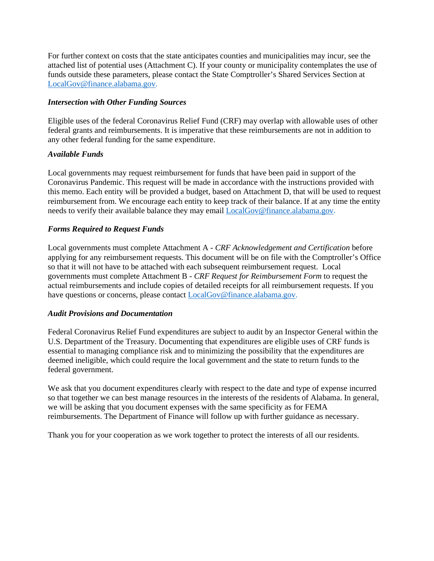For further context on costs that the state anticipates counties and municipalities may incur, see the attached list of potential uses (Attachment C). If your county or municipality contemplates the use of funds outside these parameters, please contact the State Comptroller's Shared Services Section at [LocalGov@finance.alabama.gov.](mailto:LocalGov@finance.alabama.gov)

#### *Intersection with Other Funding Sources*

Eligible uses of the federal Coronavirus Relief Fund (CRF) may overlap with allowable uses of other federal grants and reimbursements. It is imperative that these reimbursements are not in addition to any other federal funding for the same expenditure.

### *Available Funds*

Local governments may request reimbursement for funds that have been paid in support of the Coronavirus Pandemic. This request will be made in accordance with the instructions provided with this memo. Each entity will be provided a budget, based on Attachment D, that will be used to request reimbursement from. We encourage each entity to keep track of their balance. If at any time the entity needs to verify their available balance they may email [LocalGov@finance.alabama.gov.](mailto:LocalGov@finance.alabama.gov)

### *Forms Required to Request Funds*

Local governments must complete Attachment A - *CRF Acknowledgement and Certification* before applying for any reimbursement requests. This document will be on file with the Comptroller's Office so that it will not have to be attached with each subsequent reimbursement request. Local governments must complete Attachment B - *CRF Request for Reimbursement Form* to request the actual reimbursements and include copies of detailed receipts for all reimbursement requests. If you have questions or concerns, please contact [LocalGov@finance.alabama.gov.](mailto:LocalGov@finance.alabama.gov)

#### *Audit Provisions and Documentation*

Federal Coronavirus Relief Fund expenditures are subject to audit by an Inspector General within the U.S. Department of the Treasury. Documenting that expenditures are eligible uses of CRF funds is essential to managing compliance risk and to minimizing the possibility that the expenditures are deemed ineligible, which could require the local government and the state to return funds to the federal government.

We ask that you document expenditures clearly with respect to the date and type of expense incurred so that together we can best manage resources in the interests of the residents of Alabama. In general, we will be asking that you document expenses with the same specificity as for FEMA reimbursements. The Department of Finance will follow up with further guidance as necessary.

Thank you for your cooperation as we work together to protect the interests of all our residents.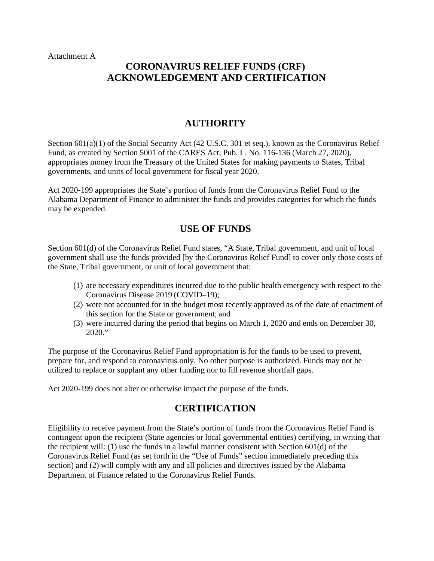Attachment A

# **CORONAVIRUS RELIEF FUNDS (CRF) ACKNOWLEDGEMENT AND CERTIFICATION**

### **AUTHORITY**

Section 601(a)(1) of the Social Security Act (42 U.S.C. 301 et seq.), known as the Coronavirus Relief Fund, as created by Section 5001 of the CARES Act, Pub. L. No. 116-136 (March 27, 2020), appropriates money from the Treasury of the United States for making payments to States, Tribal governments, and units of local government for fiscal year 2020.

Act 2020-199 appropriates the State's portion of funds from the Coronavirus Relief Fund to the Alabama Department of Finance to administer the funds and provides categories for which the funds may be expended.

### **USE OF FUNDS**

Section 601(d) of the Coronavirus Relief Fund states, "A State, Tribal government, and unit of local government shall use the funds provided [by the Coronavirus Relief Fund] to cover only those costs of the State, Tribal government, or unit of local government that:

- (1) are necessary expenditures incurred due to the public health emergency with respect to the Coronavirus Disease 2019 (COVID–19);
- (2) were not accounted for in the budget most recently approved as of the date of enactment of this section for the State or government; and
- (3) were incurred during the period that begins on March 1, 2020 and ends on December 30, 2020."

The purpose of the Coronavirus Relief Fund appropriation is for the funds to be used to prevent, prepare for, and respond to coronavirus only. No other purpose is authorized. Funds may not be utilized to replace or supplant any other funding nor to fill revenue shortfall gaps.

Act 2020-199 does not alter or otherwise impact the purpose of the funds.

# **CERTIFICATION**

Eligibility to receive payment from the State's portion of funds from the Coronavirus Relief Fund is contingent upon the recipient (State agencies or local governmental entities) certifying, in writing that the recipient will: (1) use the funds in a lawful manner consistent with Section 601(d) of the Coronavirus Relief Fund (as set forth in the "Use of Funds" section immediately preceding this section) and (2) will comply with any and all policies and directives issued by the Alabama Department of Finance related to the Coronavirus Relief Funds.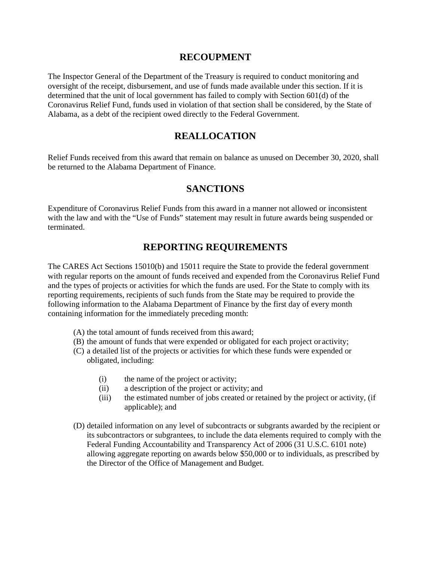### **RECOUPMENT**

The Inspector General of the Department of the Treasury is required to conduct monitoring and oversight of the receipt, disbursement, and use of funds made available under this section. If it is determined that the unit of local government has failed to comply with Section 601(d) of the Coronavirus Relief Fund, funds used in violation of that section shall be considered, by the State of Alabama, as a debt of the recipient owed directly to the Federal Government.

# **REALLOCATION**

Relief Funds received from this award that remain on balance as unused on December 30, 2020, shall be returned to the Alabama Department of Finance.

### **SANCTIONS**

Expenditure of Coronavirus Relief Funds from this award in a manner not allowed or inconsistent with the law and with the "Use of Funds" statement may result in future awards being suspended or terminated.

# **REPORTING REQUIREMENTS**

The CARES Act Sections 15010(b) and 15011 require the State to provide the federal government with regular reports on the amount of funds received and expended from the Coronavirus Relief Fund and the types of projects or activities for which the funds are used. For the State to comply with its reporting requirements, recipients of such funds from the State may be required to provide the following information to the Alabama Department of Finance by the first day of every month containing information for the immediately preceding month:

- (A) the total amount of funds received from this award;
- (B) the amount of funds that were expended or obligated for each project or activity;
- (C) a detailed list of the projects or activities for which these funds were expended or obligated, including:
	- (i) the name of the project or activity;
	- (ii) a description of the project or activity; and
	- (iii) the estimated number of jobs created or retained by the project or activity, (if applicable); and
- (D) detailed information on any level of subcontracts or subgrants awarded by the recipient or its subcontractors or subgrantees, to include the data elements required to comply with the Federal Funding Accountability and Transparency Act of 2006 (31 U.S.C. 6101 note) allowing aggregate reporting on awards below \$50,000 or to individuals, as prescribed by the Director of the Office of Management and Budget.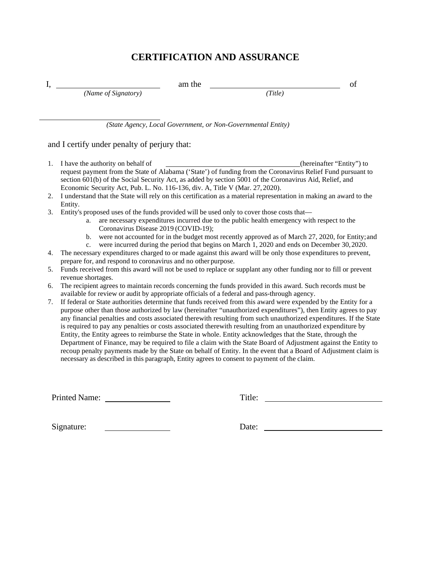# **CERTIFICATION AND ASSURANCE**

| л. |                     | am the |        |  |
|----|---------------------|--------|--------|--|
|    | (Name of Signatory) |        | Title) |  |

*(State Agency, Local Government, or Non-Governmental Entity)*

#### and I certify under penalty of perjury that:

- 1. I have the authority on behalf of (hereinafter "Entity") to request payment from the State of Alabama ('State') of funding from the Coronavirus Relief Fund pursuant to section 601(b) of the Social Security Act, as added by section 5001 of the Coronavirus Aid, Relief, and Economic Security Act, Pub. L. No. 116-136, div. A, Title V (Mar. 27, 2020).
- 2. I understand that the State will rely on this certification as a material representation in making an award to the Entity.
- 3. Entity's proposed uses of the funds provided will be used only to cover those costs that
	- a. are necessary expenditures incurred due to the public health emergency with respect to the Coronavirus Disease 2019 (COVID-19);
	- b. were not accounted for in the budget most recently approved as of March 27, 2020, for Entity;and
	- c. were incurred during the period that begins on March 1, 2020 and ends on December 30,2020.
- 4. The necessary expenditures charged to or made against this award will be only those expenditures to prevent, prepare for, and respond to coronavirus and no other purpose.
- 5. Funds received from this award will not be used to replace or supplant any other funding nor to fill or prevent revenue shortages.
- 6. The recipient agrees to maintain records concerning the funds provided in this award. Such records must be available for review or audit by appropriate officials of a federal and pass-through agency.
- 7. If federal or State authorities determine that funds received from this award were expended by the Entity for a purpose other than those authorized by law (hereinafter "unauthorized expenditures"), then Entity agrees to pay any financial penalties and costs associated therewith resulting from such unauthorized expenditures. If the State is required to pay any penalties or costs associated therewith resulting from an unauthorized expenditure by Entity, the Entity agrees to reimburse the State in whole. Entity acknowledges that the State, through the Department of Finance, may be required to file a claim with the State Board of Adjustment against the Entity to recoup penalty payments made by the State on behalf of Entity. In the event that a Board of Adjustment claim is necessary as described in this paragraph, Entity agrees to consent to payment of the claim.

Printed Name: Title:

Signature: Date: Date: Date: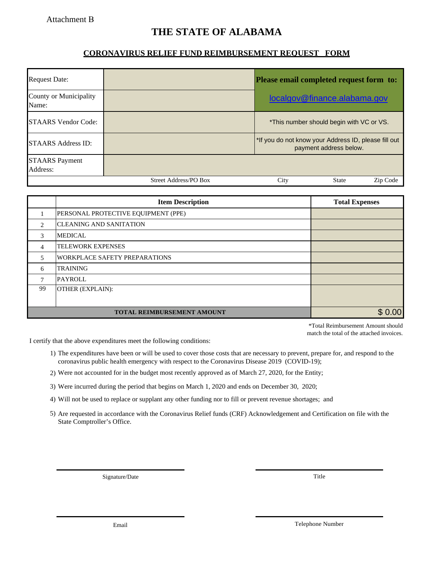### Attachment B

# **THE STATE OF ALABAMA**

### **CORONAVIRUS RELIEF FUND REIMBURSEMENT REQUEST FORM**

| <b>Request Date:</b>              |                       | Please email completed request form to:                                        |  |  |
|-----------------------------------|-----------------------|--------------------------------------------------------------------------------|--|--|
| County or Municipality<br>Name:   |                       | localgov@finance.alabama.gov                                                   |  |  |
| <b>STAARS Vendor Code:</b>        |                       | *This number should begin with VC or VS.                                       |  |  |
| <b>STAARS Address ID:</b>         |                       | *If you do not know your Address ID, please fill out<br>payment address below. |  |  |
| <b>STAARS Payment</b><br>Address: |                       |                                                                                |  |  |
|                                   | Street Address/PO Box | City<br><b>State</b><br>Zip Code                                               |  |  |

|                               | <b>Item Description</b>              | <b>Total Expenses</b> |
|-------------------------------|--------------------------------------|-----------------------|
|                               | PERSONAL PROTECTIVE EQUIPMENT (PPE)  |                       |
| $\mathfrak{D}_{\mathfrak{p}}$ | <b>CLEANING AND SANITATION</b>       |                       |
| 3                             | <b>MEDICAL</b>                       |                       |
| 4                             | <b>TELEWORK EXPENSES</b>             |                       |
| 5                             | <b>WORKPLACE SAFETY PREPARATIONS</b> |                       |
| 6                             | <b>TRAINING</b>                      |                       |
| 7                             | <b>PAYROLL</b>                       |                       |
| 99                            | OTHER (EXPLAIN):                     |                       |
|                               |                                      |                       |
|                               | <b>TOTAL REIMBURSEMENT AMOUNT</b>    | .00                   |

\*Total Reimbursement Amount should match the total of the attached invoices.

I certify that the above expenditures meet the following conditions:

- 1) The expenditures have been or will be used to cover those costs that are necessary to prevent, prepare for, and respond to the coronavirus public health emergency with respect to the Coronavirus Disease 2019 (COVID-19);
- 2) Were not accounted for in the budget most recently approved as of March 27, 2020, for the Entity;
- 3) Were incurred during the period that begins on March 1, 2020 and ends on December 30, 2020;
- Will not be used to replace or supplant any other funding nor to fill or prevent revenue shortages; and 4)
- 5) Are requested in accordance with the Coronavirus Relief funds (CRF) Acknowledgement and Certification on file with the State Comptroller's Office.

Signature/Date

Title

Email

Telephone Number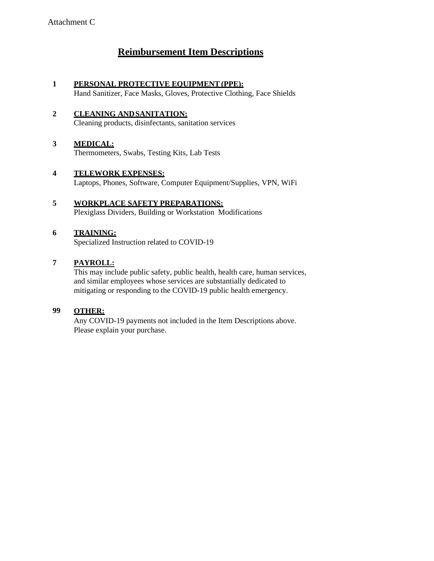# **Reimbursement Item Descriptions**

### **1 PERSONAL PROTECTIVE EQUIPMENT (PPE):**

Hand Sanitizer, Face Masks, Gloves, Protective Clothing, Face Shields

#### **2 CLEANING ANDSANITATION:** Cleaning products, disinfectants, sanitation services

#### **3 MEDICAL:** Thermometers, Swabs, Testing Kits, Lab Tests

- **4 TELEWORK EXPENSES:** Laptops, Phones, Software, Computer Equipment/Supplies, VPN, WiFi
- **5 WORKPLACE SAFETY PREPARATIONS:** Plexiglass Dividers, Building or Workstation Modifications

### **6 TRAINING:**

Specialized Instruction related to COVID-19

### **7 PAYROLL:**

This may include public safety, public health, health care, human services, and similar employees whose services are substantially dedicated to mitigating or responding to the COVID-19 public health emergency.

#### **99 OTHER:**

Any COVID-19 payments not included in the Item Descriptions above. Please explain your purchase.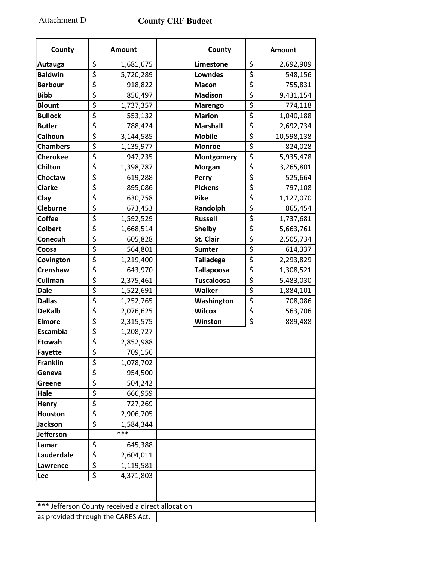Attachment D **C** 

|  |  | County CRF Budget |
|--|--|-------------------|
|--|--|-------------------|

| County                             | <b>Amount</b>                                     |  | County            | <b>Amount</b>                                |  |  |
|------------------------------------|---------------------------------------------------|--|-------------------|----------------------------------------------|--|--|
| Autauga                            | \$<br>1,681,675                                   |  | Limestone         | \$<br>2,692,909                              |  |  |
| <b>Baldwin</b>                     | $\overline{\boldsymbol{\zeta}}$<br>5,720,289      |  | <b>Lowndes</b>    | \$<br>548,156                                |  |  |
| <b>Barbour</b>                     | \$<br>918,822                                     |  | <b>Macon</b>      | \$<br>755,831                                |  |  |
| <b>Bibb</b>                        | \$<br>856,497                                     |  | <b>Madison</b>    | \$<br>9,431,154                              |  |  |
| <b>Blount</b>                      | \$<br>1,737,357                                   |  | <b>Marengo</b>    | \$<br>774,118                                |  |  |
| <b>Bullock</b>                     | $\overline{\xi}$<br>553,132                       |  | <b>Marion</b>     | \$<br>1,040,188                              |  |  |
| <b>Butler</b>                      | \$<br>788,424                                     |  | <b>Marshall</b>   | \$<br>2,692,734                              |  |  |
| Calhoun                            | \$<br>3,144,585                                   |  | <b>Mobile</b>     | \$<br>10,598,138                             |  |  |
| <b>Chambers</b>                    | \$<br>1,135,977                                   |  | <b>Monroe</b>     | \$<br>824,028                                |  |  |
| <b>Cherokee</b>                    | \$<br>947,235                                     |  | Montgomery        | \$<br>5,935,478                              |  |  |
| Chilton                            | \$<br>1,398,787                                   |  | <b>Morgan</b>     | \$<br>3,265,801                              |  |  |
| Choctaw                            | \$<br>619,288                                     |  | Perry             | $\overline{\xi}$<br>525,664                  |  |  |
| <b>Clarke</b>                      | \$<br>895,086                                     |  | <b>Pickens</b>    | \$<br>797,108                                |  |  |
| Clay                               | \$<br>630,758                                     |  | Pike              | \$<br>1,127,070                              |  |  |
| <b>Cleburne</b>                    | \$<br>673,453                                     |  | Randolph          | \$<br>865,454                                |  |  |
| <b>Coffee</b>                      | $\overline{\boldsymbol{\varsigma}}$<br>1,592,529  |  | <b>Russell</b>    | $\overline{\boldsymbol{\zeta}}$<br>1,737,681 |  |  |
| <b>Colbert</b>                     | \$<br>1,668,514                                   |  | <b>Shelby</b>     | \$<br>5,663,761                              |  |  |
| Conecuh                            | \$<br>605,828                                     |  | St. Clair         | \$<br>2,505,734                              |  |  |
| Coosa                              | $\overline{\boldsymbol{\varsigma}}$<br>564,801    |  | <b>Sumter</b>     | $\overline{\boldsymbol{\zeta}}$<br>614,337   |  |  |
| Covington                          | \$<br>1,219,400                                   |  | <b>Talladega</b>  | \$<br>2,293,829                              |  |  |
| Crenshaw                           | \$<br>643,970                                     |  | <b>Tallapoosa</b> | \$<br>1,308,521                              |  |  |
| <b>Cullman</b>                     | \$<br>2,375,461                                   |  | <b>Tuscaloosa</b> | \$<br>5,483,030                              |  |  |
| <b>Dale</b>                        | \$<br>1,522,691                                   |  | <b>Walker</b>     | \$<br>1,884,101                              |  |  |
| <b>Dallas</b>                      | \$<br>1,252,765                                   |  | Washington        | \$<br>708,086                                |  |  |
| <b>DeKalb</b>                      | \$<br>2,076,625                                   |  | <b>Wilcox</b>     | \$<br>563,706                                |  |  |
| <b>Elmore</b>                      | \$<br>2,315,575                                   |  | Winston           | \$<br>889,488                                |  |  |
| <b>Escambia</b>                    | \$<br>1,208,727                                   |  |                   |                                              |  |  |
| Etowah                             | \$<br>2,852,988                                   |  |                   |                                              |  |  |
| <b>Fayette</b>                     | $\overline{\mathsf{S}}$<br>709,156                |  |                   |                                              |  |  |
| <b>Franklin</b>                    | \$<br>1,078,702                                   |  |                   |                                              |  |  |
| Geneva                             | \$<br>954,500                                     |  |                   |                                              |  |  |
| Greene                             | \$<br>504,242                                     |  |                   |                                              |  |  |
| Hale                               | \$<br>666,959                                     |  |                   |                                              |  |  |
| <b>Henry</b>                       | \$<br>727,269                                     |  |                   |                                              |  |  |
| <b>Houston</b>                     | \$<br>2,906,705                                   |  |                   |                                              |  |  |
| Jackson                            | \$<br>1,584,344                                   |  |                   |                                              |  |  |
| <b>Jefferson</b>                   | ***                                               |  |                   |                                              |  |  |
| Lamar                              | \$<br>645,388                                     |  |                   |                                              |  |  |
| Lauderdale                         | \$<br>2,604,011                                   |  |                   |                                              |  |  |
| Lawrence                           | \$<br>1,119,581                                   |  |                   |                                              |  |  |
| <b>Lee</b>                         | $\overline{\xi}$<br>4,371,803                     |  |                   |                                              |  |  |
|                                    |                                                   |  |                   |                                              |  |  |
|                                    |                                                   |  |                   |                                              |  |  |
|                                    | *** Jefferson County received a direct allocation |  |                   |                                              |  |  |
| as provided through the CARES Act. |                                                   |  |                   |                                              |  |  |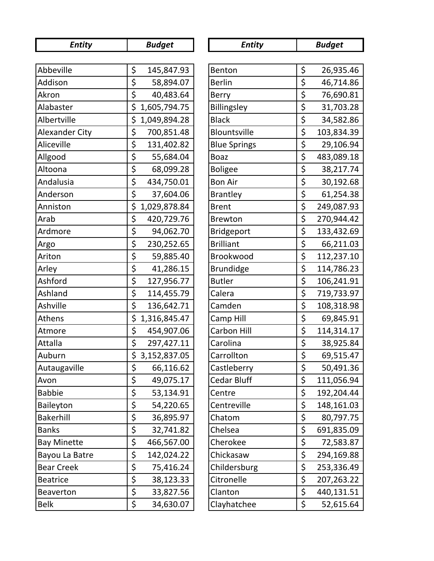| <b>Entity</b>         | <b>Budget</b>      | <b>Entity</b>       | <b>Budget</b>                                 |
|-----------------------|--------------------|---------------------|-----------------------------------------------|
|                       |                    |                     |                                               |
| Abbeville             | \$<br>145,847.93   | Benton              | \$<br>26,935.46                               |
| Addison               | \$<br>58,894.07    | <b>Berlin</b>       | \$<br>46,714.86                               |
| Akron                 | \$<br>40,483.64    | <b>Berry</b>        | \$<br>76,690.81                               |
| Alabaster             | \$<br>1,605,794.75 | Billingsley         | \$<br>31,703.28                               |
| Albertville           | \$<br>1,049,894.28 | <b>Black</b>        | \$<br>34,582.86                               |
| <b>Alexander City</b> | \$<br>700,851.48   | Blountsville        | \$<br>103,834.39                              |
| Aliceville            | \$<br>131,402.82   | <b>Blue Springs</b> | \$<br>29,106.94                               |
| Allgood               | \$<br>55,684.04    | <b>Boaz</b>         | \$<br>483,089.18                              |
| Altoona               | \$<br>68,099.28    | <b>Boligee</b>      | \$<br>38,217.74                               |
| Andalusia             | \$<br>434,750.01   | <b>Bon Air</b>      | \$<br>30,192.68                               |
| Anderson              | \$<br>37,604.06    | <b>Brantley</b>     | \$<br>61,254.38                               |
| Anniston              | \$<br>1,029,878.84 | <b>Brent</b>        | \$<br>249,087.93                              |
| Arab                  | \$<br>420,729.76   | <b>Brewton</b>      | \$<br>270,944.42                              |
| Ardmore               | \$<br>94,062.70    | Bridgeport          | $\overline{\boldsymbol{\zeta}}$<br>133,432.69 |
| Argo                  | \$<br>230,252.65   | <b>Brilliant</b>    | \$<br>66,211.03                               |
| Ariton                | \$<br>59,885.40    | Brookwood           | \$<br>112,237.10                              |
| Arley                 | \$<br>41,286.15    | <b>Brundidge</b>    | \$<br>114,786.23                              |
| Ashford               | \$<br>127,956.77   | <b>Butler</b>       | \$<br>106,241.91                              |
| Ashland               | \$<br>114,455.79   | Calera              | \$<br>719,733.97                              |
| Ashville              | \$<br>136,642.71   | Camden              | \$<br>108,318.98                              |
| Athens                | \$<br>1,316,845.47 | Camp Hill           | \$<br>69,845.91                               |
| Atmore                | \$<br>454,907.06   | Carbon Hill         | \$<br>114,314.17                              |
| Attalla               | \$<br>297,427.11   | Carolina            | \$<br>38,925.84                               |
| Auburn                | \$<br>3,152,837.05 | Carrollton          | \$<br>69,515.47                               |
| Autaugaville          | \$<br>66,116.62    | Castleberry         | \$<br>50,491.36                               |
| Avon                  | \$<br>49,075.17    | <b>Cedar Bluff</b>  | \$<br>111,056.94                              |
| <b>Babbie</b>         | \$<br>53,134.91    | Centre              | \$<br>192,204.44                              |
| Baileyton             | \$<br>54,220.65    | Centreville         | \$<br>148,161.03                              |
| <b>Bakerhill</b>      | \$<br>36,895.97    | Chatom              | \$<br>80,797.75                               |
| <b>Banks</b>          | \$<br>32,741.82    | Chelsea             | \$<br>691,835.09                              |
| <b>Bay Minette</b>    | \$<br>466,567.00   | Cherokee            | \$<br>72,583.87                               |
| Bayou La Batre        | \$<br>142,024.22   | Chickasaw           | \$<br>294,169.88                              |
| <b>Bear Creek</b>     | \$<br>75,416.24    | Childersburg        | \$<br>253,336.49                              |
| <b>Beatrice</b>       | \$<br>38,123.33    | Citronelle          | \$<br>207,263.22                              |
| Beaverton             | \$<br>33,827.56    | Clanton             | \$<br>440,131.51                              |
| <b>Belk</b>           | \$<br>34,630.07    | Clayhatchee         | \$<br>52,615.64                               |

| <b>Entity</b>       |                                                                                   | <b>Budget</b> |
|---------------------|-----------------------------------------------------------------------------------|---------------|
|                     |                                                                                   |               |
| enton               | \$                                                                                | 26,935.46     |
| erlin               | \$                                                                                | 46,714.86     |
| erry                |                                                                                   | 76,690.81     |
| Billingsley         |                                                                                   | 31,703.28     |
| <b>Black</b>        | $\frac{5}{5}$<br>$\frac{5}{5}$                                                    | 34,582.86     |
| <b>Bountsville</b>  |                                                                                   | 103,834.39    |
| <b>Blue Springs</b> |                                                                                   | 29,106.94     |
| oaz                 |                                                                                   | 483,089.18    |
| oligee              |                                                                                   | 38,217.74     |
| on Air              |                                                                                   | 30,192.68     |
| <b>Brantley</b>     | $\frac{1}{5}$<br>$\frac{1}{5}$<br>$\frac{5}{5}$<br>$\frac{5}{5}$<br>$\frac{1}{5}$ | 61,254.38     |
| <b>Srent</b>        |                                                                                   | 249,087.93    |
| <b>Brewton</b>      | \$                                                                                | 270,944.42    |
| Bridgeport          | $\frac{1}{2}$<br>$\frac{1}{2}$<br>$\frac{1}{2}$                                   | 133,432.69    |
| <b>Brilliant</b>    |                                                                                   | 66,211.03     |
| <b>Brookwood</b>    |                                                                                   | 112,237.10    |
| <b>Brundidge</b>    |                                                                                   | 114,786.23    |
| utler               | $\frac{1}{2}$<br>$\frac{1}{2}$<br>$\frac{1}{2}$                                   | 106,241.91    |
| Calera              |                                                                                   | 719,733.97    |
| Camden              |                                                                                   | 108,318.98    |
| Camp Hill           |                                                                                   | 69,845.91     |
| Carbon Hill         | $\frac{5}{5}$                                                                     | 114,314.17    |
| Carolina            |                                                                                   | 38,925.84     |
| Carrollton          |                                                                                   | 69,515.47     |
| Castleberry         | \$                                                                                | 50,491.36     |
| edar Bluff          | $\overline{\underline{5}}$                                                        | 111,056.94    |
| centre              |                                                                                   | 192,204.44    |
| centreville         | $\frac{5}{5}$                                                                     | 148,161.03    |
| hatom:              |                                                                                   | 80,797.75     |
| helsea              |                                                                                   | 691,835.09    |
| <b>Cherokee</b>     |                                                                                   | 72,583.87     |
| hickasaw:           | $\frac{1}{5}$<br>$\frac{1}{5}$<br>$\frac{1}{5}$                                   | 294,169.88    |
| hildersburg         | $rac{5}{5}$                                                                       | 253,336.49    |
| Citronelle          |                                                                                   | 207,263.22    |
| Clanton             | \$                                                                                | 440,131.51    |
| Clayhatchee         | \$                                                                                | 52,615.64     |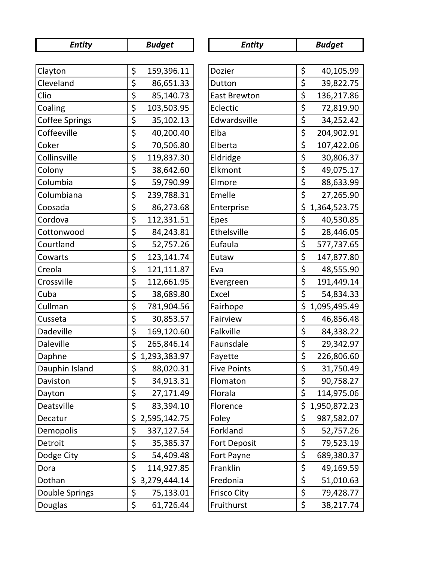| <b>Entity</b>         | <b>Budget</b>      | <b>Entity</b>       | <b>Budget</b>      |
|-----------------------|--------------------|---------------------|--------------------|
|                       |                    |                     |                    |
| Clayton               | \$<br>159,396.11   | Dozier              | \$<br>40,105.99    |
| Cleveland             | \$<br>86,651.33    | Dutton              | \$<br>39,822.75    |
| Clio                  | \$<br>85,140.73    | <b>East Brewton</b> | \$<br>136,217.86   |
| Coaling               | \$<br>103,503.95   | Eclectic            | \$<br>72,819.90    |
| <b>Coffee Springs</b> | \$<br>35,102.13    | Edwardsville        | \$<br>34,252.42    |
| Coffeeville           | \$<br>40,200.40    | Elba                | \$<br>204,902.91   |
| Coker                 | \$<br>70,506.80    | Elberta             | \$<br>107,422.06   |
| Collinsville          | \$<br>119,837.30   | Eldridge            | \$<br>30,806.37    |
| Colony                | \$<br>38,642.60    | Elkmont             | \$<br>49,075.17    |
| Columbia              | \$<br>59,790.99    | Elmore              | \$<br>88,633.99    |
| Columbiana            | \$<br>239,788.31   | Emelle              | \$<br>27,265.90    |
| Coosada               | \$<br>86,273.68    | Enterprise          | \$<br>1,364,523.75 |
| Cordova               | \$<br>112,331.51   | Epes                | \$<br>40,530.85    |
| Cottonwood            | \$<br>84,243.81    | Ethelsville         | \$<br>28,446.05    |
| Courtland             | \$<br>52,757.26    | Eufaula             | \$<br>577,737.65   |
| Cowarts               | \$<br>123,141.74   | Eutaw               | \$<br>147,877.80   |
| Creola                | \$<br>121,111.87   | Eva                 | \$<br>48,555.90    |
| Crossville            | \$<br>112,661.95   | Evergreen           | \$<br>191,449.14   |
| Cuba                  | \$<br>38,689.80    | Excel               | \$<br>54,834.33    |
| Cullman               | \$<br>781,904.56   | Fairhope            | \$<br>1,095,495.49 |
| Cusseta               | \$<br>30,853.57    | Fairview            | \$<br>46,856.48    |
| Dadeville             | \$<br>169,120.60   | Falkville           | \$<br>84,338.22    |
| Daleville             | \$<br>265,846.14   | Faunsdale           | \$<br>29,342.97    |
| Daphne                | \$<br>1,293,383.97 | Fayette             | \$<br>226,806.60   |
| Dauphin Island        | \$<br>88,020.31    | <b>Five Points</b>  | \$<br>31,750.49    |
| Daviston              | \$<br>34,913.31    | Flomaton            | \$<br>90,758.27    |
| Dayton                | \$<br>27,171.49    | Florala             | \$<br>114,975.06   |
| Deatsville            | \$<br>83,394.10    | Florence            | \$<br>1,950,872.23 |
| Decatur               | \$<br>2,595,142.75 | Foley               | \$<br>987,582.07   |
| Demopolis             | \$<br>337,127.54   | Forkland            | \$<br>52,757.26    |
| Detroit               | \$<br>35,385.37    | <b>Fort Deposit</b> | \$<br>79,523.19    |
| Dodge City            | \$<br>54,409.48    | Fort Payne          | \$<br>689,380.37   |
| Dora                  | \$<br>114,927.85   | Franklin            | \$<br>49,169.59    |
| Dothan                | \$<br>3,279,444.14 | Fredonia            | \$<br>51,010.63    |
| Double Springs        | \$<br>75,133.01    | <b>Frisco City</b>  | \$<br>79,428.77    |
| Douglas               | \$<br>61,726.44    | Fruithurst          | \$<br>38,217.74    |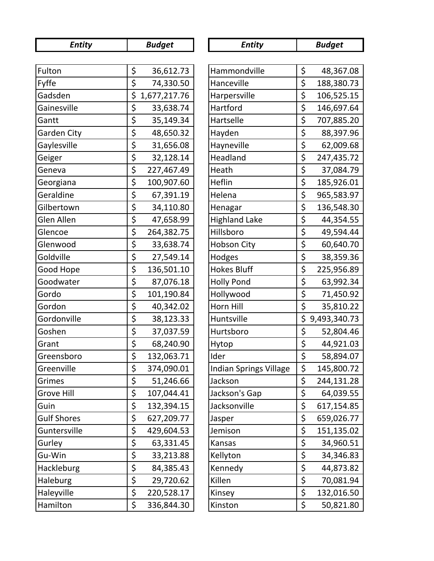| <b>Entity</b>      |    | <b>Budget</b> | <b>Entity</b>                 | <b>Budget</b>      |
|--------------------|----|---------------|-------------------------------|--------------------|
|                    |    |               |                               |                    |
| Fulton             | \$ | 36,612.73     | Hammondville                  | \$<br>48,367.08    |
| Fyffe              | \$ | 74,330.50     | Hanceville                    | \$<br>188,380.73   |
| Gadsden            | \$ | 1,677,217.76  | Harpersville                  | \$<br>106,525.15   |
| Gainesville        | \$ | 33,638.74     | Hartford                      | \$<br>146,697.64   |
| Gantt              | \$ | 35,149.34     | Hartselle                     | \$<br>707,885.20   |
| <b>Garden City</b> | \$ | 48,650.32     | Hayden                        | \$<br>88,397.96    |
| Gaylesville        | \$ | 31,656.08     | Hayneville                    | \$<br>62,009.68    |
| Geiger             | \$ | 32,128.14     | Headland                      | \$<br>247,435.72   |
| Geneva             | \$ | 227,467.49    | Heath                         | \$<br>37,084.79    |
| Georgiana          | \$ | 100,907.60    | Heflin                        | \$<br>185,926.01   |
| Geraldine          | \$ | 67,391.19     | Helena                        | \$<br>965,583.97   |
| Gilbertown         | \$ | 34,110.80     | Henagar                       | \$<br>136,548.30   |
| Glen Allen         | \$ | 47,658.99     | <b>Highland Lake</b>          | \$<br>44,354.55    |
| Glencoe            | \$ | 264,382.75    | Hillsboro                     | \$<br>49,594.44    |
| Glenwood           | \$ | 33,638.74     | <b>Hobson City</b>            | \$<br>60,640.70    |
| Goldville          | \$ | 27,549.14     | Hodges                        | \$<br>38,359.36    |
| Good Hope          | \$ | 136,501.10    | <b>Hokes Bluff</b>            | \$<br>225,956.89   |
| Goodwater          | \$ | 87,076.18     | <b>Holly Pond</b>             | \$<br>63,992.34    |
| Gordo              | \$ | 101,190.84    | Hollywood                     | \$<br>71,450.92    |
| Gordon             | \$ | 40,342.02     | Horn Hill                     | \$<br>35,810.22    |
| Gordonville        | \$ | 38,123.33     | Huntsville                    | \$<br>9,493,340.73 |
| Goshen             | \$ | 37,037.59     | Hurtsboro                     | \$<br>52,804.46    |
| Grant              | \$ | 68,240.90     | Hytop                         | \$<br>44,921.03    |
| Greensboro         | \$ | 132,063.71    | Ider                          | \$<br>58,894.07    |
| Greenville         | \$ | 374,090.01    | <b>Indian Springs Village</b> | \$<br>145,800.72   |
| Grimes             | \$ | 51,246.66     | Jackson                       | \$<br>244,131.28   |
| <b>Grove Hill</b>  | \$ | 107,044.41    | Jackson's Gap                 | \$<br>64,039.55    |
| Guin               | \$ | 132,394.15    | Jacksonville                  | \$<br>617,154.85   |
| <b>Gulf Shores</b> | \$ | 627,209.77    | Jasper                        | \$<br>659,026.77   |
| Guntersville       | \$ | 429,604.53    | Jemison                       | \$<br>151,135.02   |
| Gurley             | \$ | 63,331.45     | Kansas                        | \$<br>34,960.51    |
| Gu-Win             | \$ | 33,213.88     | Kellyton                      | \$<br>34,346.83    |
| Hackleburg         | \$ | 84,385.43     | Kennedy                       | \$<br>44,873.82    |
| Haleburg           | \$ | 29,720.62     | Killen                        | \$<br>70,081.94    |
| Haleyville         | \$ | 220,528.17    | Kinsey                        | \$<br>132,016.50   |
| Hamilton           | \$ | 336,844.30    | Kinston                       | \$<br>50,821.80    |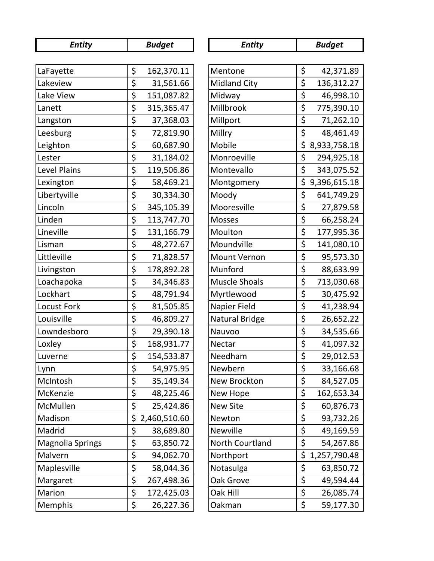| <b>Entity</b>           | <b>Budget</b>      | <b>Entity</b>         | <b>Budget</b>      |
|-------------------------|--------------------|-----------------------|--------------------|
|                         |                    |                       |                    |
| LaFayette               | \$<br>162,370.11   | Mentone               | \$<br>42,371.89    |
| Lakeview                | \$<br>31,561.66    | <b>Midland City</b>   | \$<br>136,312.27   |
| Lake View               | \$<br>151,087.82   | Midway                | \$<br>46,998.10    |
| Lanett                  | \$<br>315,365.47   | Millbrook             | \$<br>775,390.10   |
| Langston                | \$<br>37,368.03    | Millport              | \$<br>71,262.10    |
| Leesburg                | \$<br>72,819.90    | Millry                | \$<br>48,461.49    |
| Leighton                | \$<br>60,687.90    | Mobile                | \$<br>8,933,758.18 |
| Lester                  | \$<br>31,184.02    | Monroeville           | \$<br>294,925.18   |
| Level Plains            | \$<br>119,506.86   | Montevallo            | \$<br>343,075.52   |
| Lexington               | \$<br>58,469.21    | Montgomery            | \$<br>9,396,615.18 |
| Libertyville            | \$<br>30,334.30    | Moody                 | \$<br>641,749.29   |
| Lincoln                 | \$<br>345,105.39   | Mooresville           | \$<br>27,879.58    |
| Linden                  | \$<br>113,747.70   | <b>Mosses</b>         | \$<br>66,258.24    |
| Lineville               | \$<br>131,166.79   | Moulton               | \$<br>177,995.36   |
| Lisman                  | \$<br>48,272.67    | Moundville            | \$<br>141,080.10   |
| Littleville             | \$<br>71,828.57    | <b>Mount Vernon</b>   | \$<br>95,573.30    |
| Livingston              | \$<br>178,892.28   | Munford               | \$<br>88,633.99    |
| Loachapoka              | \$<br>34,346.83    | <b>Muscle Shoals</b>  | \$<br>713,030.68   |
| Lockhart                | \$<br>48,791.94    | Myrtlewood            | \$<br>30,475.92    |
| <b>Locust Fork</b>      | \$<br>81,505.85    | Napier Field          | \$<br>41,238.94    |
| Louisville              | \$<br>46,809.27    | <b>Natural Bridge</b> | \$<br>26,652.22    |
| Lowndesboro             | \$<br>29,390.18    | Nauvoo                | \$<br>34,535.66    |
| Loxley                  | \$<br>168,931.77   | Nectar                | \$<br>41,097.32    |
| Luverne                 | \$<br>154,533.87   | Needham               | \$<br>29,012.53    |
| Lynn                    | \$<br>54,975.95    | Newbern               | \$<br>33,166.68    |
| McIntosh                | \$<br>35,149.34    | New Brockton          | \$<br>84,527.05    |
| McKenzie                | \$<br>48,225.46    | New Hope              | \$<br>162,653.34   |
| McMullen                | \$<br>25,424.86    | <b>New Site</b>       | \$<br>60,876.73    |
| Madison                 | \$<br>2,460,510.60 | Newton                | \$<br>93,732.26    |
| Madrid                  | \$<br>38,689.80    | Newville              | \$<br>49,169.59    |
| <b>Magnolia Springs</b> | \$<br>63,850.72    | North Courtland       | \$<br>54,267.86    |
| Malvern                 | \$<br>94,062.70    | Northport             | \$<br>1,257,790.48 |
| Maplesville             | \$<br>58,044.36    | Notasulga             | \$<br>63,850.72    |
| Margaret                | \$<br>267,498.36   | Oak Grove             | \$<br>49,594.44    |
| Marion                  | \$<br>172,425.03   | Oak Hill              | \$<br>26,085.74    |
| Memphis                 | \$<br>26,227.36    | Oakman                | \$<br>59,177.30    |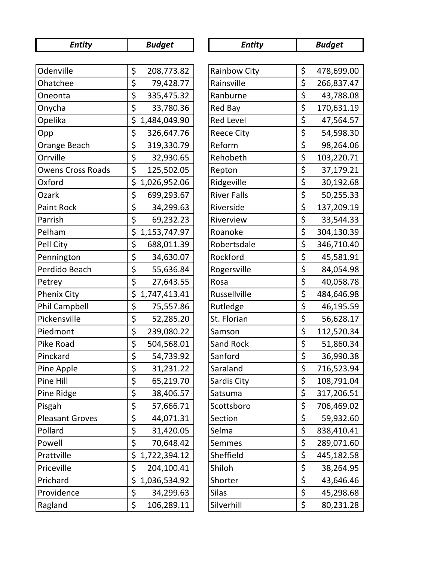| <b>Entity</b>            | <b>Budget</b><br><b>Entity</b> |                     | <b>Budget</b>    |  |
|--------------------------|--------------------------------|---------------------|------------------|--|
|                          |                                |                     |                  |  |
| Odenville                | \$<br>208,773.82               | <b>Rainbow City</b> | \$<br>478,699.00 |  |
| Ohatchee                 | \$<br>79,428.77                | Rainsville          | \$<br>266,837.47 |  |
| Oneonta                  | \$<br>335,475.32               | Ranburne            | \$<br>43,788.08  |  |
| Onycha                   | \$<br>33,780.36                | Red Bay             | \$<br>170,631.19 |  |
| Opelika                  | \$<br>1,484,049.90             | <b>Red Level</b>    | \$<br>47,564.57  |  |
| Opp                      | \$<br>326,647.76               | <b>Reece City</b>   | \$<br>54,598.30  |  |
| Orange Beach             | \$<br>319,330.79               | Reform              | \$<br>98,264.06  |  |
| Orrville                 | \$<br>32,930.65                | Rehobeth            | \$<br>103,220.71 |  |
| <b>Owens Cross Roads</b> | \$<br>125,502.05               | Repton              | \$<br>37,179.21  |  |
| Oxford                   | \$<br>1,026,952.06             | Ridgeville          | \$<br>30,192.68  |  |
| Ozark                    | \$<br>699,293.67               | <b>River Falls</b>  | \$<br>50,255.33  |  |
| <b>Paint Rock</b>        | \$<br>34,299.63                | Riverside           | \$<br>137,209.19 |  |
| Parrish                  | \$<br>69,232.23                | Riverview           | \$<br>33,544.33  |  |
| Pelham                   | \$<br>1,153,747.97             | Roanoke             | \$<br>304,130.39 |  |
| Pell City                | \$<br>688,011.39               | Robertsdale         | \$<br>346,710.40 |  |
| Pennington               | \$<br>34,630.07                | Rockford            | \$<br>45,581.91  |  |
| Perdido Beach            | \$<br>55,636.84                | Rogersville         | \$<br>84,054.98  |  |
| Petrey                   | \$<br>27,643.55                | Rosa                | \$<br>40,058.78  |  |
| <b>Phenix City</b>       | \$<br>1,747,413.41             | Russellville        | \$<br>484,646.98 |  |
| Phil Campbell            | \$<br>75,557.86                | Rutledge            | \$<br>46,195.59  |  |
| Pickensville             | \$<br>52,285.20                | St. Florian         | \$<br>56,628.17  |  |
| Piedmont                 | \$<br>239,080.22               | Samson              | \$<br>112,520.34 |  |
| Pike Road                | \$<br>504,568.01               | Sand Rock           | \$<br>51,860.34  |  |
| Pinckard                 | \$<br>54,739.92                | Sanford             | \$<br>36,990.38  |  |
| Pine Apple               | \$<br>31,231.22                | Saraland            | \$<br>716,523.94 |  |
| Pine Hill                | \$<br>65,219.70                | Sardis City         | \$<br>108,791.04 |  |
| Pine Ridge               | \$<br>38,406.57                | Satsuma             | \$<br>317,206.51 |  |
| Pisgah                   | \$<br>57,666.71                | Scottsboro          | \$<br>706,469.02 |  |
| <b>Pleasant Groves</b>   | \$<br>44,071.31                | Section             | \$<br>59,932.60  |  |
| Pollard                  | \$<br>31,420.05                | Selma               | \$<br>838,410.41 |  |
| Powell                   | \$<br>70,648.42                | <b>Semmes</b>       | \$<br>289,071.60 |  |
| Prattville               | \$<br>1,722,394.12             | Sheffield           | \$<br>445,182.58 |  |
| Priceville               | \$<br>204,100.41               | Shiloh              | \$<br>38,264.95  |  |
| Prichard                 | \$<br>1,036,534.92             | Shorter             | \$<br>43,646.46  |  |
| Providence               | \$<br>34,299.63                | <b>Silas</b>        | \$<br>45,298.68  |  |
| Ragland                  | \$<br>106,289.11               | Silverhill          | \$<br>80,231.28  |  |